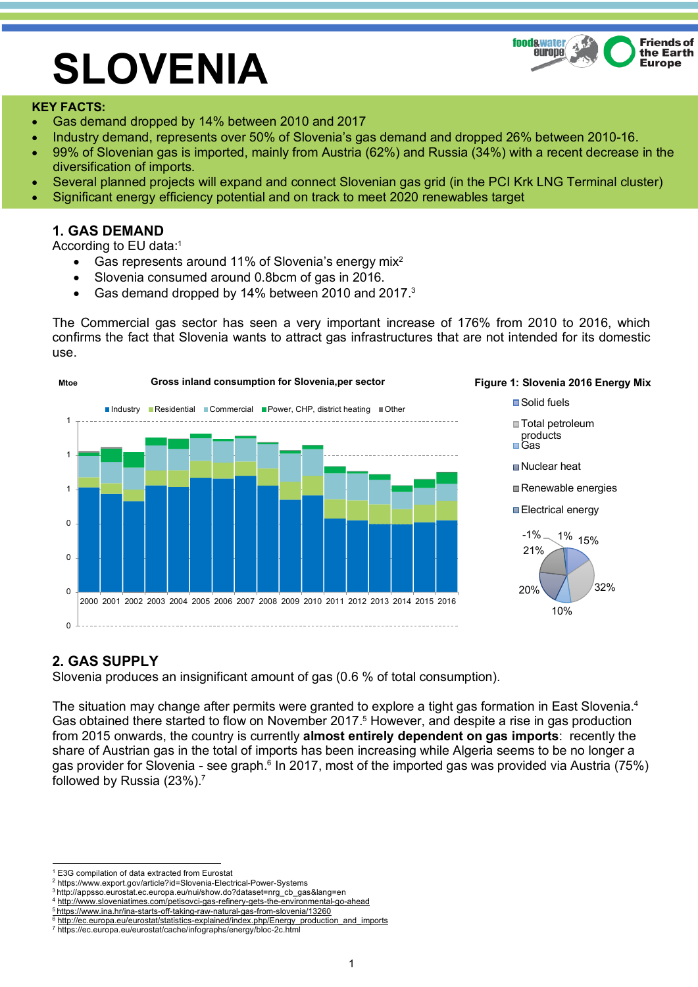

# **SLOVENIA**

#### **KEY FACTS:**

- Gas demand dropped by 14% between 2010 and 2017
- Industry demand, represents over 50% of Slovenia's gas demand and dropped 26% between 2010-16.
- 99% of Slovenian gas is imported, mainly from Austria (62%) and Russia (34%) with a recent decrease in the diversification of imports.
- Several planned projects will expand and connect Slovenian gas grid (in the PCI Krk LNG Terminal cluster)
- Significant energy efficiency potential and on track to meet 2020 renewables target

# **1. GAS DEMAND**

According to EU data:1

- Gas represents around 11% of Slovenia's energy mix<sup>2</sup>
- Slovenia consumed around 0.8bcm of gas in 2016.
- Gas demand dropped by 14% between 2010 and 2017.<sup>3</sup>

The Commercial gas sector has seen a very important increase of 176% from 2010 to 2016, which confirms the fact that Slovenia wants to attract gas infrastructures that are not intended for its domestic use.





■Solid fuels ■Total petroleum products Gas

■Nuclear heat

Renewable energies

Electrical energy



# **2. GAS SUPPLY**

Slovenia produces an insignificant amount of gas (0.6 % of total consumption).

The situation may change after permits were granted to explore a tight gas formation in East Slovenia.<sup>4</sup> Gas obtained there started to flow on November 2017.<sup>5</sup> However, and despite a rise in gas production from 2015 onwards, the country is currently **almost entirely dependent on gas imports**: recently the share of Austrian gas in the total of imports has been increasing while Algeria seems to be no longer a gas provider for Slovenia - see graph.<sup>6</sup> In 2017, most of the imported gas was provided via Austria (75%) followed by Russia (23%).7

<sup>1</sup> E3G compilation of data extracted from Eurostat 2 https://www.export.gov/article?id=Slovenia-Electrical-Power-Systems

<sup>3</sup> http://appsso.eurostat.ec.europa.eu/nui/show.do?dataset=nrg\_cb\_gas&lang=en

<sup>4</sup> http://www.sloveniatimes.com/petisovci-gas-refinery-gets-the-environmental-go-ahead

<sup>5</sup> https://www.ina.hr/ina-starts-off-taking-raw-natural-gas-from-slovenia/13260

<sup>&</sup>lt;sup>6</sup> http://ec.europa.eu/eurostat/statistics-explained/index.php/Energy\_production

<sup>7</sup> https://ec.europa.eu/eurostat/cache/infographs/energy/bloc-2c.html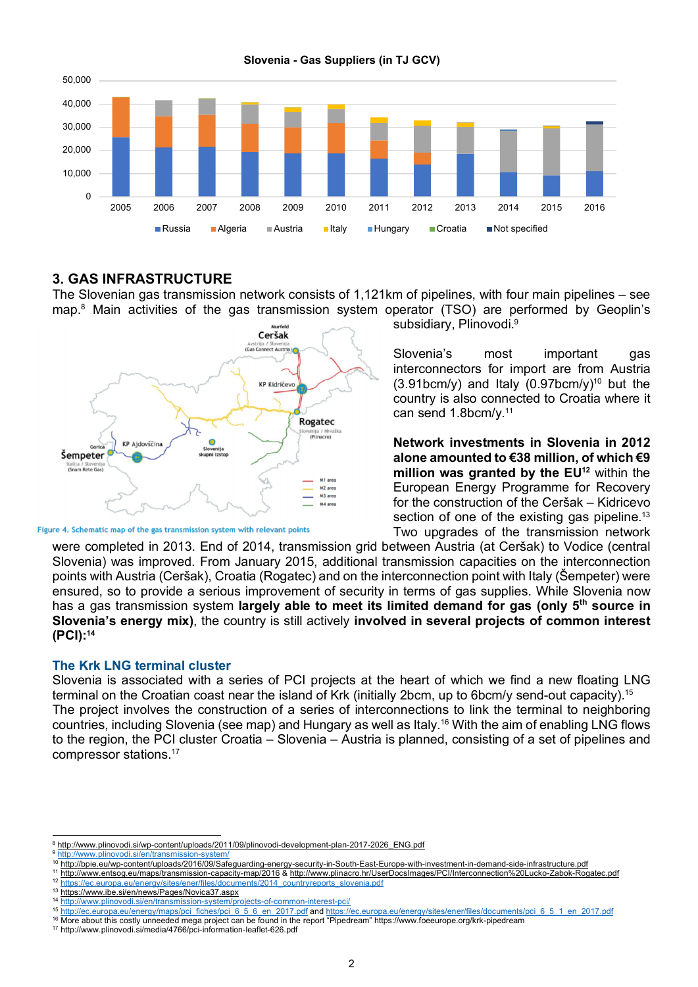

**Slovenia - Gas Suppliers (in TJ GCV)**

## **3. GAS INFRASTRUCTURE**

The Slovenian gas transmission network consists of 1,121km of pipelines, with four main pipelines – see map.8 Main activities of the gas transmission system operator (TSO) are performed by Geoplin's



Figure 4. Schematic map of the gas transmission system with relevant points

subsidiary, Plinovodi.<sup>9</sup>

Slovenia's most important gas interconnectors for import are from Austria  $(3.91bcm/v)$  and Italy  $(0.97bcm/v)^{10}$  but the country is also connected to Croatia where it can send 1.8bcm/y.11

**Network investments in Slovenia in 2012 alone amounted to €38 million, of which €9**  million was granted by the EU<sup>12</sup> within the European Energy Programme for Recovery for the construction of the Ceršak – Kidricevo section of one of the existing gas pipeline.<sup>13</sup> Two upgrades of the transmission network

were completed in 2013. End of 2014, transmission grid between Austria (at Ceršak) to Vodice (central Slovenia) was improved. From January 2015, additional transmission capacities on the interconnection points with Austria (Ceršak), Croatia (Rogatec) and on the interconnection point with Italy (Šempeter) were ensured, so to provide a serious improvement of security in terms of gas supplies. While Slovenia now has a gas transmission system **largely able to meet its limited demand for gas (only 5th source in Slovenia's energy mix)**, the country is still actively **involved in several projects of common interest (PCI): 14**

### **The Krk LNG terminal cluster**

Slovenia is associated with a series of PCI projects at the heart of which we find a new floating LNG terminal on the Croatian coast near the island of Krk (initially 2bcm, up to 6bcm/y send-out capacity).15 The project involves the construction of a series of interconnections to link the terminal to neighboring countries, including Slovenia (see map) and Hungary as well as Italy.16 With the aim of enabling LNG flows to the region, the PCI cluster Croatia – Slovenia – Austria is planned, consisting of a set of pipelines and compressor stations.17

13 https://www.ibe.si/en/news/Pages/Novica37.aspx<br>14 http://www.plinovedi.gi/en/transmission.gy/tom/nr

<sup>8</sup> http://www.plinovodi.si/wp-content/uploads/2011/09/plinovodi-development-plan-2017-2026 ENG.pdf

<sup>&</sup>lt;sup>9</sup> http://www.plinovodi.si/en/transmission-system/

<sup>&</sup>lt;sup>10</sup> http://bpie.eu/wp-content/uploads/2016/09/Safeguarding-energy-security-in-South-East-Europe-with-investment-in-demand-side-infrastructure.pdf 11 http://www.entsog.eu/maps/transmission-capacity-map/2016 & http://www.plinacro.hr/UserDocsImages/PCI/Interconnection%20Lucko-Zabok-Rogatec.pdf<br>12 http://www.entsog.eu/maps/transmission-capacity-map/2016 & http://www.pli

<sup>12</sup> https://ec.europa.eu/energy/sites/ener/files/documents/2014\_countryreports\_slovenia.pdf

http://www.plinovodi.si/en/transmission-system/projects-of-common-interest-pci/

<sup>15</sup> http://ec.europa.eu/energy/maps/pci\_fiches/pci\_6\_5\_6\_en\_2017.pdf and https://ec.europa.eu/energy/sites/ener/files/documents/pci\_6\_5\_1\_en\_2017.pdf

<sup>16</sup> More about this costly unneeded mega project can be found in the report "Pipedream" https://www.foeeurope.org/krk-pipedream

<sup>17</sup> http://www.plinovodi.si/media/4766/pci-information-leaflet-626.pdf